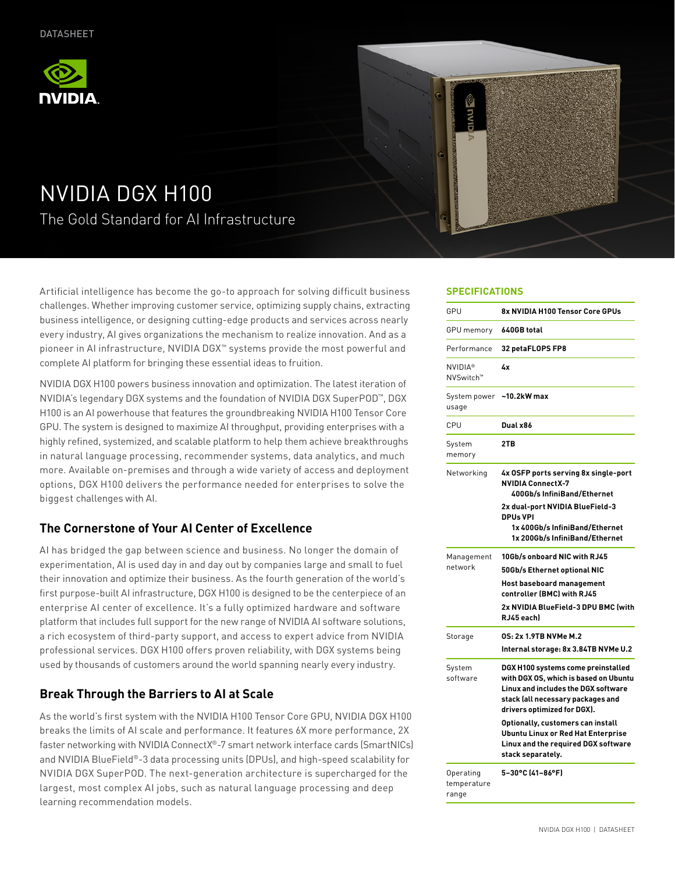



# NVIDIA DGX H100 The Gold Standard for AI Infrastructure

Artificial intelligence has become the go-to approach for solving difficult business challenges. Whether improving customer service, optimizing supply chains, extracting business intelligence, or designing cutting-edge products and services across nearly every industry, AI gives organizations the mechanism to realize innovation. And as a pioneer in AI infrastructure, NVIDIA DGX™ systems provide the most powerful and complete AI platform for bringing these essential ideas to fruition.

NVIDIA DGX H100 powers business innovation and optimization. The latest iteration of NVIDIA's legendary DGX systems and the foundation of NVIDIA DGX SuperPOD™, DGX H100 is an AI powerhouse that features the groundbreaking NVIDIA H100 Tensor Core GPU. The system is designed to maximize AI throughput, providing enterprises with a highly refined, systemized, and scalable platform to help them achieve breakthroughs in natural language processing, recommender systems, data analytics, and much more. Available on-premises and through a wide variety of access and deployment options, DGX H100 delivers the performance needed for enterprises to solve the biggest challenges with AI.

# **The Cornerstone of Your AI Center of Excellence**

AI has bridged the gap between science and business. No longer the domain of experimentation, AI is used day in and day out by companies large and small to fuel their innovation and optimize their business. As the fourth generation of the world's first purpose-built AI infrastructure, DGX H100 is designed to be the centerpiece of an enterprise AI center of excellence. It's a fully optimized hardware and software platform that includes full support for the new range of NVIDIA AI software solutions, a rich ecosystem of third-party support, and access to expert advice from NVIDIA professional services. DGX H100 offers proven reliability, with DGX systems being used by thousands of customers around the world spanning nearly every industry.

# **Break Through the Barriers to AI at Scale**

As the world's first system with the NVIDIA H100 Tensor Core GPU, NVIDIA DGX H100 breaks the limits of AI scale and performance. It features 6X more performance, 2X faster networking with NVIDIA ConnectX®-7 smart network interface cards (SmartNICs) and NVIDIA BlueField®-3 data processing units (DPUs), and high-speed scalability for NVIDIA DGX SuperPOD. The next-generation architecture is supercharged for the largest, most complex AI jobs, such as natural language processing and deep learning recommendation models.

#### **SPECIFICATIONS**

| GPU                                     | 8x NVIDIA H100 Tensor Core GPUs                                                                                                                                                                                                                                                                                                      |
|-----------------------------------------|--------------------------------------------------------------------------------------------------------------------------------------------------------------------------------------------------------------------------------------------------------------------------------------------------------------------------------------|
| GPU memory                              | 640GB total                                                                                                                                                                                                                                                                                                                          |
| Performance                             | 32 petaFLOPS FP8                                                                                                                                                                                                                                                                                                                     |
| <b>NVIDIA®</b><br>NVSwitch <sup>™</sup> | 4x                                                                                                                                                                                                                                                                                                                                   |
| System power<br>usage                   | $-10.2$ kW max                                                                                                                                                                                                                                                                                                                       |
| CPU                                     | Dual x86                                                                                                                                                                                                                                                                                                                             |
| System<br>memory                        | 2TB                                                                                                                                                                                                                                                                                                                                  |
| Networking                              | 4x OSFP ports serving 8x single-port<br><b>NVIDIA ConnectX-7</b><br>400Gb/s InfiniBand/Ethernet<br>2x dual-port NVIDIA BlueField-3<br><b>DPUs VPI</b><br>1x 400Gb/s InfiniBand/Ethernet<br>1x 200Gb/s InfiniBand/Ethernet                                                                                                            |
| Management<br>network                   | 10Gb/s onboard NIC with RJ45<br>50Gb/s Ethernet optional NIC<br>Host baseboard management<br>controller (BMC) with RJ45<br>2x NVIDIA BlueField-3 DPU BMC (with<br>RJ45 each)                                                                                                                                                         |
| Storage                                 | 0S: 2x 1.9TB NVMe M.2<br>Internal storage: 8x 3.84TB NVMe U.2                                                                                                                                                                                                                                                                        |
| System<br>software                      | DGX H100 systems come preinstalled<br>with DGX OS, which is based on Ubuntu<br>Linux and includes the DGX software<br>stack (all necessary packages and<br>drivers optimized for DGX).<br>Optionally, customers can install<br><b>Ubuntu Linux or Red Hat Enterprise</b><br>Linux and the required DGX software<br>stack separately. |
| Operating<br>temperature<br>range       | 5-30°C (41-86°F)                                                                                                                                                                                                                                                                                                                     |